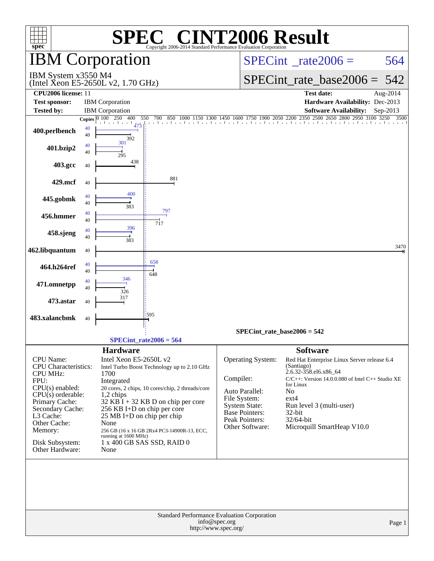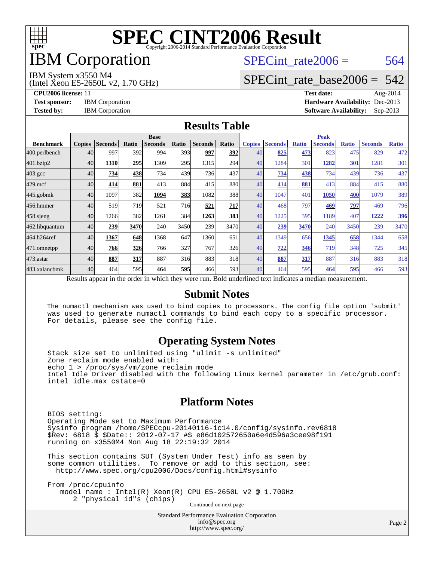

## **IBM** Corporation

## SPECint rate $2006 = 564$

#### IBM System x3550 M4

(Intel Xeon E5-2650L v2, 1.70 GHz)

[SPECint\\_rate\\_base2006 =](http://www.spec.org/auto/cpu2006/Docs/result-fields.html#SPECintratebase2006) 542

**[CPU2006 license:](http://www.spec.org/auto/cpu2006/Docs/result-fields.html#CPU2006license)** 11 **[Test date:](http://www.spec.org/auto/cpu2006/Docs/result-fields.html#Testdate)** Aug-2014 **[Test sponsor:](http://www.spec.org/auto/cpu2006/Docs/result-fields.html#Testsponsor)** IBM Corporation **[Hardware Availability:](http://www.spec.org/auto/cpu2006/Docs/result-fields.html#HardwareAvailability)** Dec-2013 **[Tested by:](http://www.spec.org/auto/cpu2006/Docs/result-fields.html#Testedby)** IBM Corporation **[Software Availability:](http://www.spec.org/auto/cpu2006/Docs/result-fields.html#SoftwareAvailability)** Sep-2013

#### **[Results Table](http://www.spec.org/auto/cpu2006/Docs/result-fields.html#ResultsTable)**

|                    | <b>Base</b>   |                |              |                                                                                                          |            |                |                  | <b>Peak</b>   |                |              |                |              |                |              |
|--------------------|---------------|----------------|--------------|----------------------------------------------------------------------------------------------------------|------------|----------------|------------------|---------------|----------------|--------------|----------------|--------------|----------------|--------------|
| <b>Benchmark</b>   | <b>Copies</b> | <b>Seconds</b> | <b>Ratio</b> | <b>Seconds</b>                                                                                           | Ratio      | <b>Seconds</b> | Ratio            | <b>Copies</b> | <b>Seconds</b> | <b>Ratio</b> | <b>Seconds</b> | <b>Ratio</b> | <b>Seconds</b> | <b>Ratio</b> |
| 400.perlbench      | 40            | 997            | 392          | 994                                                                                                      | 393        | 997            | <b>392</b>       | 40            | 825            | 473          | 823            | 475          | 829            | 472          |
| 401.bzip2          | 40            | 1310           | 295          | 1309                                                                                                     | 295        | 1315           | 294              | 40            | 1284           | 301          | 1282           | 301          | 1281           | 301          |
| $403.\mathrm{gcc}$ | 40            | 734            | 438          | 734                                                                                                      | 439        | 736            | 437              | 40            | 734            | 438          | 734            | 439          | 736            | 437          |
| $429$ .mcf         | 40            | 414            | 881          | 413                                                                                                      | 884        | 415            | 880              | 40            | 414            | 881          | 413            | 884          | 415            | 880          |
| $445$ .gobmk       | 40            | 1097           | 382          | 1094                                                                                                     | 383        | 1082           | 388              | 40            | 1047           | 401          | 1050           | 400          | 1079           | 389          |
| 456.hmmer          | 40            | 519            | 719          | 521                                                                                                      | 716        | 521            | 717              | 40            | 468            | 797          | 469            | 797          | 469            | 796          |
| $458$ .sjeng       | 40            | 1266           | 382          | 1261                                                                                                     | 384        | 1263           | <b>383</b>       | 40            | 1225           | 395          | 1189           | 407          | 1222           | 396          |
| 462.libquantum     | 40            | 239            | 3470         | 240                                                                                                      | 3450       | 239            | 3470             | 40            | 239            | 3470         | 240            | 3450         | 239            | 3470         |
| 464.h264ref        | 40            | 1367           | 648          | 1368                                                                                                     | 647        | 1360           | 651              | 40            | 1349           | 656          | 1345           | 658          | 1344           | 658          |
| 471.omnetpp        | 40            | 766            | 326          | 766                                                                                                      | 327        | 767            | 326              | 40            | 722            | 346          | 719            | 348          | 725            | 345          |
| $473$ . astar      | 40            | 887            | 317          | 887                                                                                                      | 316        | 883            | 318              | 40            | 887            | 317          | 887            | 316          | 883            | 318          |
| 483.xalancbmk      | 40            | 464            | 595          | 464                                                                                                      | <b>595</b> | 466            | 593 <sub>l</sub> | 40            | 464            | 595          | 464            | 595          | 466            | 593          |
|                    |               |                |              | Results appear in the order in which they were run. Bold underlined text indicates a median measurement. |            |                |                  |               |                |              |                |              |                |              |

#### **[Submit Notes](http://www.spec.org/auto/cpu2006/Docs/result-fields.html#SubmitNotes)**

 The numactl mechanism was used to bind copies to processors. The config file option 'submit' was used to generate numactl commands to bind each copy to a specific processor. For details, please see the config file.

#### **[Operating System Notes](http://www.spec.org/auto/cpu2006/Docs/result-fields.html#OperatingSystemNotes)**

 Stack size set to unlimited using "ulimit -s unlimited" Zone reclaim mode enabled with: echo 1 > /proc/sys/vm/zone\_reclaim\_mode Intel Idle Driver disabled with the following Linux kernel parameter in /etc/grub.conf: intel\_idle.max\_cstate=0

#### **[Platform Notes](http://www.spec.org/auto/cpu2006/Docs/result-fields.html#PlatformNotes)**

 BIOS setting: Operating Mode set to Maximum Performance Sysinfo program /home/SPECcpu-20140116-ic14.0/config/sysinfo.rev6818 \$Rev: 6818 \$ \$Date:: 2012-07-17 #\$ e86d102572650a6e4d596a3cee98f191 running on x3550M4 Mon Aug 18 22:19:32 2014

 This section contains SUT (System Under Test) info as seen by some common utilities. To remove or add to this section, see: <http://www.spec.org/cpu2006/Docs/config.html#sysinfo>

 From /proc/cpuinfo model name : Intel(R) Xeon(R) CPU E5-2650L v2 @ 1.70GHz 2 "physical id"s (chips) Continued on next page

> Standard Performance Evaluation Corporation [info@spec.org](mailto:info@spec.org) <http://www.spec.org/>

Page 2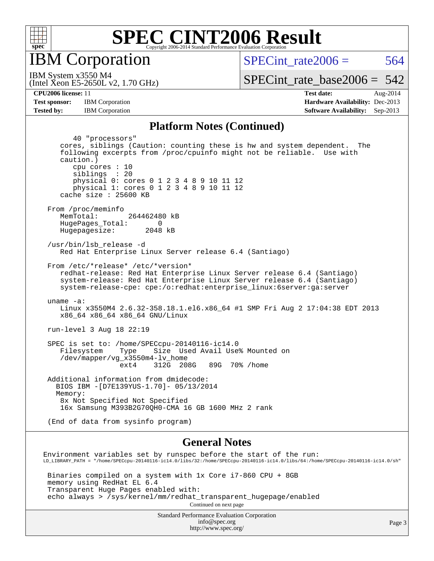

IBM Corporation

SPECint rate $2006 = 564$ 

(Intel Xeon E5-2650L v2, 1.70 GHz) IBM System x3550 M4

[SPECint\\_rate\\_base2006 =](http://www.spec.org/auto/cpu2006/Docs/result-fields.html#SPECintratebase2006)  $542$ 

**[Tested by:](http://www.spec.org/auto/cpu2006/Docs/result-fields.html#Testedby)** IBM Corporation **[Software Availability:](http://www.spec.org/auto/cpu2006/Docs/result-fields.html#SoftwareAvailability)** Sep-2013

**[CPU2006 license:](http://www.spec.org/auto/cpu2006/Docs/result-fields.html#CPU2006license)** 11 **[Test date:](http://www.spec.org/auto/cpu2006/Docs/result-fields.html#Testdate)** Aug-2014 **[Test sponsor:](http://www.spec.org/auto/cpu2006/Docs/result-fields.html#Testsponsor)** IBM Corporation **[Hardware Availability:](http://www.spec.org/auto/cpu2006/Docs/result-fields.html#HardwareAvailability)** Dec-2013

#### **[Platform Notes \(Continued\)](http://www.spec.org/auto/cpu2006/Docs/result-fields.html#PlatformNotes)**

 40 "processors" cores, siblings (Caution: counting these is hw and system dependent. The following excerpts from /proc/cpuinfo might not be reliable. Use with caution.) cpu cores : 10 siblings : 20 physical 0: cores 0 1 2 3 4 8 9 10 11 12 physical 1: cores 0 1 2 3 4 8 9 10 11 12 cache size : 25600 KB From /proc/meminfo MemTotal: 264462480 kB HugePages\_Total: 0<br>Hugepagesize: 2048 kB Hugepagesize: /usr/bin/lsb\_release -d Red Hat Enterprise Linux Server release 6.4 (Santiago) From /etc/\*release\* /etc/\*version\* redhat-release: Red Hat Enterprise Linux Server release 6.4 (Santiago) system-release: Red Hat Enterprise Linux Server release 6.4 (Santiago) system-release-cpe: cpe:/o:redhat:enterprise\_linux:6server:ga:server uname -a: Linux x3550M4 2.6.32-358.18.1.el6.x86\_64 #1 SMP Fri Aug 2 17:04:38 EDT 2013 x86\_64 x86\_64 x86\_64 GNU/Linux run-level 3 Aug 18 22:19 SPEC is set to: /home/SPECcpu-20140116-ic14.0 Filesystem Type Size Used Avail Use% Mounted on /dev/mapper/vg\_x3550m4-lv\_home ext4 312G 208G 89G 70% /home Additional information from dmidecode: BIOS IBM -[D7E139YUS-1.70]- 05/13/2014 Memory: 8x Not Specified Not Specified 16x Samsung M393B2G70QH0-CMA 16 GB 1600 MHz 2 rank (End of data from sysinfo program) **[General Notes](http://www.spec.org/auto/cpu2006/Docs/result-fields.html#GeneralNotes)** Environment variables set by runspec before the start of the run:

LD\_LIBRARY\_PATH = "/home/SPECcpu-20140116-ic14.0/libs/32:/home/SPECcpu-20140116-ic14.0/libs/64:/home/SPECcpu-20140116-ic14.0/sh"

 Binaries compiled on a system with 1x Core i7-860 CPU + 8GB memory using RedHat EL 6.4 Transparent Huge Pages enabled with: echo always > /sys/kernel/mm/redhat\_transparent\_hugepage/enabled Continued on next page

> Standard Performance Evaluation Corporation [info@spec.org](mailto:info@spec.org) <http://www.spec.org/>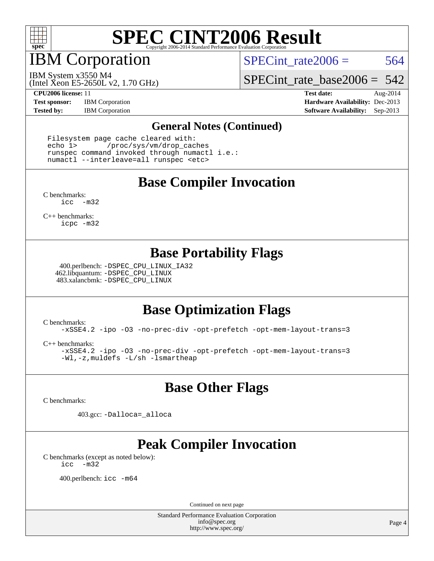

IBM Corporation

SPECint rate $2006 = 564$ 

(Intel Xeon E5-2650L v2, 1.70 GHz) IBM System x3550 M4

[SPECint\\_rate\\_base2006 =](http://www.spec.org/auto/cpu2006/Docs/result-fields.html#SPECintratebase2006) 542

**[Test sponsor:](http://www.spec.org/auto/cpu2006/Docs/result-fields.html#Testsponsor)** IBM Corporation **[Hardware Availability:](http://www.spec.org/auto/cpu2006/Docs/result-fields.html#HardwareAvailability)** Dec-2013

**[CPU2006 license:](http://www.spec.org/auto/cpu2006/Docs/result-fields.html#CPU2006license)** 11 **[Test date:](http://www.spec.org/auto/cpu2006/Docs/result-fields.html#Testdate)** Aug-2014 **[Tested by:](http://www.spec.org/auto/cpu2006/Docs/result-fields.html#Testedby)** IBM Corporation **[Software Availability:](http://www.spec.org/auto/cpu2006/Docs/result-fields.html#SoftwareAvailability)** Sep-2013

#### **[General Notes \(Continued\)](http://www.spec.org/auto/cpu2006/Docs/result-fields.html#GeneralNotes)**

 Filesystem page cache cleared with: echo 1> /proc/sys/vm/drop\_caches runspec command invoked through numactl i.e.: numactl --interleave=all runspec <etc>

### **[Base Compiler Invocation](http://www.spec.org/auto/cpu2006/Docs/result-fields.html#BaseCompilerInvocation)**

[C benchmarks](http://www.spec.org/auto/cpu2006/Docs/result-fields.html#Cbenchmarks): [icc -m32](http://www.spec.org/cpu2006/results/res2014q3/cpu2006-20140819-30960.flags.html#user_CCbase_intel_icc_5ff4a39e364c98233615fdd38438c6f2)

[C++ benchmarks:](http://www.spec.org/auto/cpu2006/Docs/result-fields.html#CXXbenchmarks) [icpc -m32](http://www.spec.org/cpu2006/results/res2014q3/cpu2006-20140819-30960.flags.html#user_CXXbase_intel_icpc_4e5a5ef1a53fd332b3c49e69c3330699)

### **[Base Portability Flags](http://www.spec.org/auto/cpu2006/Docs/result-fields.html#BasePortabilityFlags)**

 400.perlbench: [-DSPEC\\_CPU\\_LINUX\\_IA32](http://www.spec.org/cpu2006/results/res2014q3/cpu2006-20140819-30960.flags.html#b400.perlbench_baseCPORTABILITY_DSPEC_CPU_LINUX_IA32) 462.libquantum: [-DSPEC\\_CPU\\_LINUX](http://www.spec.org/cpu2006/results/res2014q3/cpu2006-20140819-30960.flags.html#b462.libquantum_baseCPORTABILITY_DSPEC_CPU_LINUX) 483.xalancbmk: [-DSPEC\\_CPU\\_LINUX](http://www.spec.org/cpu2006/results/res2014q3/cpu2006-20140819-30960.flags.html#b483.xalancbmk_baseCXXPORTABILITY_DSPEC_CPU_LINUX)

## **[Base Optimization Flags](http://www.spec.org/auto/cpu2006/Docs/result-fields.html#BaseOptimizationFlags)**

[C benchmarks](http://www.spec.org/auto/cpu2006/Docs/result-fields.html#Cbenchmarks):

[-xSSE4.2](http://www.spec.org/cpu2006/results/res2014q3/cpu2006-20140819-30960.flags.html#user_CCbase_f-xSSE42_f91528193cf0b216347adb8b939d4107) [-ipo](http://www.spec.org/cpu2006/results/res2014q3/cpu2006-20140819-30960.flags.html#user_CCbase_f-ipo) [-O3](http://www.spec.org/cpu2006/results/res2014q3/cpu2006-20140819-30960.flags.html#user_CCbase_f-O3) [-no-prec-div](http://www.spec.org/cpu2006/results/res2014q3/cpu2006-20140819-30960.flags.html#user_CCbase_f-no-prec-div) [-opt-prefetch](http://www.spec.org/cpu2006/results/res2014q3/cpu2006-20140819-30960.flags.html#user_CCbase_f-opt-prefetch) [-opt-mem-layout-trans=3](http://www.spec.org/cpu2006/results/res2014q3/cpu2006-20140819-30960.flags.html#user_CCbase_f-opt-mem-layout-trans_a7b82ad4bd7abf52556d4961a2ae94d5)

[C++ benchmarks:](http://www.spec.org/auto/cpu2006/Docs/result-fields.html#CXXbenchmarks)

[-xSSE4.2](http://www.spec.org/cpu2006/results/res2014q3/cpu2006-20140819-30960.flags.html#user_CXXbase_f-xSSE42_f91528193cf0b216347adb8b939d4107) [-ipo](http://www.spec.org/cpu2006/results/res2014q3/cpu2006-20140819-30960.flags.html#user_CXXbase_f-ipo) [-O3](http://www.spec.org/cpu2006/results/res2014q3/cpu2006-20140819-30960.flags.html#user_CXXbase_f-O3) [-no-prec-div](http://www.spec.org/cpu2006/results/res2014q3/cpu2006-20140819-30960.flags.html#user_CXXbase_f-no-prec-div) [-opt-prefetch](http://www.spec.org/cpu2006/results/res2014q3/cpu2006-20140819-30960.flags.html#user_CXXbase_f-opt-prefetch) [-opt-mem-layout-trans=3](http://www.spec.org/cpu2006/results/res2014q3/cpu2006-20140819-30960.flags.html#user_CXXbase_f-opt-mem-layout-trans_a7b82ad4bd7abf52556d4961a2ae94d5) [-Wl,-z,muldefs](http://www.spec.org/cpu2006/results/res2014q3/cpu2006-20140819-30960.flags.html#user_CXXbase_link_force_multiple1_74079c344b956b9658436fd1b6dd3a8a) [-L/sh -lsmartheap](http://www.spec.org/cpu2006/results/res2014q3/cpu2006-20140819-30960.flags.html#user_CXXbase_SmartHeap_32f6c82aa1ed9c52345d30cf6e4a0499)

### **[Base Other Flags](http://www.spec.org/auto/cpu2006/Docs/result-fields.html#BaseOtherFlags)**

[C benchmarks](http://www.spec.org/auto/cpu2006/Docs/result-fields.html#Cbenchmarks):

403.gcc: [-Dalloca=\\_alloca](http://www.spec.org/cpu2006/results/res2014q3/cpu2006-20140819-30960.flags.html#b403.gcc_baseEXTRA_CFLAGS_Dalloca_be3056838c12de2578596ca5467af7f3)

## **[Peak Compiler Invocation](http://www.spec.org/auto/cpu2006/Docs/result-fields.html#PeakCompilerInvocation)**

[C benchmarks \(except as noted below\)](http://www.spec.org/auto/cpu2006/Docs/result-fields.html#Cbenchmarksexceptasnotedbelow): [icc -m32](http://www.spec.org/cpu2006/results/res2014q3/cpu2006-20140819-30960.flags.html#user_CCpeak_intel_icc_5ff4a39e364c98233615fdd38438c6f2)

400.perlbench: [icc -m64](http://www.spec.org/cpu2006/results/res2014q3/cpu2006-20140819-30960.flags.html#user_peakCCLD400_perlbench_intel_icc_64bit_bda6cc9af1fdbb0edc3795bac97ada53)

Continued on next page

Standard Performance Evaluation Corporation [info@spec.org](mailto:info@spec.org) <http://www.spec.org/>

Page 4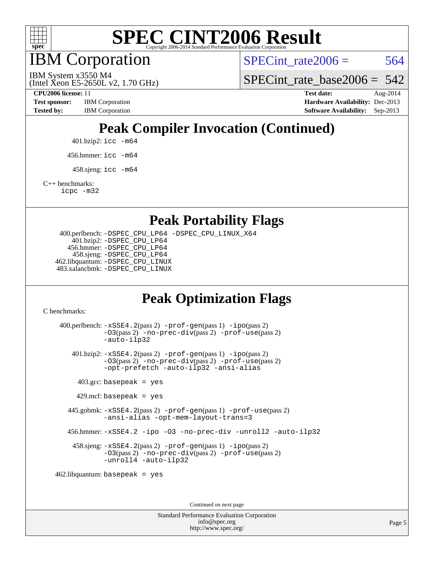

IBM Corporation

SPECint rate $2006 = 564$ 

SPECint rate base2006 =  $542$ 

(Intel Xeon E5-2650L v2, 1.70 GHz)

IBM System x3550 M4

**[Test sponsor:](http://www.spec.org/auto/cpu2006/Docs/result-fields.html#Testsponsor)** IBM Corporation **[Hardware Availability:](http://www.spec.org/auto/cpu2006/Docs/result-fields.html#HardwareAvailability)** Dec-2013

**[CPU2006 license:](http://www.spec.org/auto/cpu2006/Docs/result-fields.html#CPU2006license)** 11 **[Test date:](http://www.spec.org/auto/cpu2006/Docs/result-fields.html#Testdate)** Aug-2014 **[Tested by:](http://www.spec.org/auto/cpu2006/Docs/result-fields.html#Testedby)** IBM Corporation **[Software Availability:](http://www.spec.org/auto/cpu2006/Docs/result-fields.html#SoftwareAvailability)** Sep-2013

## **[Peak Compiler Invocation \(Continued\)](http://www.spec.org/auto/cpu2006/Docs/result-fields.html#PeakCompilerInvocation)**

401.bzip2: [icc -m64](http://www.spec.org/cpu2006/results/res2014q3/cpu2006-20140819-30960.flags.html#user_peakCCLD401_bzip2_intel_icc_64bit_bda6cc9af1fdbb0edc3795bac97ada53)

456.hmmer: [icc -m64](http://www.spec.org/cpu2006/results/res2014q3/cpu2006-20140819-30960.flags.html#user_peakCCLD456_hmmer_intel_icc_64bit_bda6cc9af1fdbb0edc3795bac97ada53)

 $458 \text{.}$ sjeng: icc  $-\text{m64}$ 

[C++ benchmarks:](http://www.spec.org/auto/cpu2006/Docs/result-fields.html#CXXbenchmarks)

[icpc -m32](http://www.spec.org/cpu2006/results/res2014q3/cpu2006-20140819-30960.flags.html#user_CXXpeak_intel_icpc_4e5a5ef1a53fd332b3c49e69c3330699)

**[Peak Portability Flags](http://www.spec.org/auto/cpu2006/Docs/result-fields.html#PeakPortabilityFlags)**

 400.perlbench: [-DSPEC\\_CPU\\_LP64](http://www.spec.org/cpu2006/results/res2014q3/cpu2006-20140819-30960.flags.html#b400.perlbench_peakCPORTABILITY_DSPEC_CPU_LP64) [-DSPEC\\_CPU\\_LINUX\\_X64](http://www.spec.org/cpu2006/results/res2014q3/cpu2006-20140819-30960.flags.html#b400.perlbench_peakCPORTABILITY_DSPEC_CPU_LINUX_X64) 401.bzip2: [-DSPEC\\_CPU\\_LP64](http://www.spec.org/cpu2006/results/res2014q3/cpu2006-20140819-30960.flags.html#suite_peakCPORTABILITY401_bzip2_DSPEC_CPU_LP64) 456.hmmer: [-DSPEC\\_CPU\\_LP64](http://www.spec.org/cpu2006/results/res2014q3/cpu2006-20140819-30960.flags.html#suite_peakCPORTABILITY456_hmmer_DSPEC_CPU_LP64) 458.sjeng: [-DSPEC\\_CPU\\_LP64](http://www.spec.org/cpu2006/results/res2014q3/cpu2006-20140819-30960.flags.html#suite_peakCPORTABILITY458_sjeng_DSPEC_CPU_LP64) 462.libquantum: [-DSPEC\\_CPU\\_LINUX](http://www.spec.org/cpu2006/results/res2014q3/cpu2006-20140819-30960.flags.html#b462.libquantum_peakCPORTABILITY_DSPEC_CPU_LINUX) 483.xalancbmk: [-DSPEC\\_CPU\\_LINUX](http://www.spec.org/cpu2006/results/res2014q3/cpu2006-20140819-30960.flags.html#b483.xalancbmk_peakCXXPORTABILITY_DSPEC_CPU_LINUX)

## **[Peak Optimization Flags](http://www.spec.org/auto/cpu2006/Docs/result-fields.html#PeakOptimizationFlags)**

[C benchmarks](http://www.spec.org/auto/cpu2006/Docs/result-fields.html#Cbenchmarks):

 400.perlbench: [-xSSE4.2](http://www.spec.org/cpu2006/results/res2014q3/cpu2006-20140819-30960.flags.html#user_peakPASS2_CFLAGSPASS2_LDCFLAGS400_perlbench_f-xSSE42_f91528193cf0b216347adb8b939d4107)(pass 2) [-prof-gen](http://www.spec.org/cpu2006/results/res2014q3/cpu2006-20140819-30960.flags.html#user_peakPASS1_CFLAGSPASS1_LDCFLAGS400_perlbench_prof_gen_e43856698f6ca7b7e442dfd80e94a8fc)(pass 1) [-ipo](http://www.spec.org/cpu2006/results/res2014q3/cpu2006-20140819-30960.flags.html#user_peakPASS2_CFLAGSPASS2_LDCFLAGS400_perlbench_f-ipo)(pass 2) [-O3](http://www.spec.org/cpu2006/results/res2014q3/cpu2006-20140819-30960.flags.html#user_peakPASS2_CFLAGSPASS2_LDCFLAGS400_perlbench_f-O3)(pass 2) [-no-prec-div](http://www.spec.org/cpu2006/results/res2014q3/cpu2006-20140819-30960.flags.html#user_peakPASS2_CFLAGSPASS2_LDCFLAGS400_perlbench_f-no-prec-div)(pass 2) [-prof-use](http://www.spec.org/cpu2006/results/res2014q3/cpu2006-20140819-30960.flags.html#user_peakPASS2_CFLAGSPASS2_LDCFLAGS400_perlbench_prof_use_bccf7792157ff70d64e32fe3e1250b55)(pass 2) [-auto-ilp32](http://www.spec.org/cpu2006/results/res2014q3/cpu2006-20140819-30960.flags.html#user_peakCOPTIMIZE400_perlbench_f-auto-ilp32) 401.bzip2: [-xSSE4.2](http://www.spec.org/cpu2006/results/res2014q3/cpu2006-20140819-30960.flags.html#user_peakPASS2_CFLAGSPASS2_LDCFLAGS401_bzip2_f-xSSE42_f91528193cf0b216347adb8b939d4107)(pass 2) [-prof-gen](http://www.spec.org/cpu2006/results/res2014q3/cpu2006-20140819-30960.flags.html#user_peakPASS1_CFLAGSPASS1_LDCFLAGS401_bzip2_prof_gen_e43856698f6ca7b7e442dfd80e94a8fc)(pass 1) [-ipo](http://www.spec.org/cpu2006/results/res2014q3/cpu2006-20140819-30960.flags.html#user_peakPASS2_CFLAGSPASS2_LDCFLAGS401_bzip2_f-ipo)(pass 2) [-O3](http://www.spec.org/cpu2006/results/res2014q3/cpu2006-20140819-30960.flags.html#user_peakPASS2_CFLAGSPASS2_LDCFLAGS401_bzip2_f-O3)(pass 2) [-no-prec-div](http://www.spec.org/cpu2006/results/res2014q3/cpu2006-20140819-30960.flags.html#user_peakPASS2_CFLAGSPASS2_LDCFLAGS401_bzip2_f-no-prec-div)(pass 2) [-prof-use](http://www.spec.org/cpu2006/results/res2014q3/cpu2006-20140819-30960.flags.html#user_peakPASS2_CFLAGSPASS2_LDCFLAGS401_bzip2_prof_use_bccf7792157ff70d64e32fe3e1250b55)(pass 2) [-opt-prefetch](http://www.spec.org/cpu2006/results/res2014q3/cpu2006-20140819-30960.flags.html#user_peakCOPTIMIZE401_bzip2_f-opt-prefetch) [-auto-ilp32](http://www.spec.org/cpu2006/results/res2014q3/cpu2006-20140819-30960.flags.html#user_peakCOPTIMIZE401_bzip2_f-auto-ilp32) [-ansi-alias](http://www.spec.org/cpu2006/results/res2014q3/cpu2006-20140819-30960.flags.html#user_peakCOPTIMIZE401_bzip2_f-ansi-alias)  $403.\text{gcc: basepeak}$  = yes  $429$ .mcf: basepeak = yes 445.gobmk: [-xSSE4.2](http://www.spec.org/cpu2006/results/res2014q3/cpu2006-20140819-30960.flags.html#user_peakPASS2_CFLAGSPASS2_LDCFLAGS445_gobmk_f-xSSE42_f91528193cf0b216347adb8b939d4107)(pass 2) [-prof-gen](http://www.spec.org/cpu2006/results/res2014q3/cpu2006-20140819-30960.flags.html#user_peakPASS1_CFLAGSPASS1_LDCFLAGS445_gobmk_prof_gen_e43856698f6ca7b7e442dfd80e94a8fc)(pass 1) [-prof-use](http://www.spec.org/cpu2006/results/res2014q3/cpu2006-20140819-30960.flags.html#user_peakPASS2_CFLAGSPASS2_LDCFLAGS445_gobmk_prof_use_bccf7792157ff70d64e32fe3e1250b55)(pass 2) [-ansi-alias](http://www.spec.org/cpu2006/results/res2014q3/cpu2006-20140819-30960.flags.html#user_peakCOPTIMIZE445_gobmk_f-ansi-alias) [-opt-mem-layout-trans=3](http://www.spec.org/cpu2006/results/res2014q3/cpu2006-20140819-30960.flags.html#user_peakCOPTIMIZE445_gobmk_f-opt-mem-layout-trans_a7b82ad4bd7abf52556d4961a2ae94d5) 456.hmmer: [-xSSE4.2](http://www.spec.org/cpu2006/results/res2014q3/cpu2006-20140819-30960.flags.html#user_peakCOPTIMIZE456_hmmer_f-xSSE42_f91528193cf0b216347adb8b939d4107) [-ipo](http://www.spec.org/cpu2006/results/res2014q3/cpu2006-20140819-30960.flags.html#user_peakCOPTIMIZE456_hmmer_f-ipo) [-O3](http://www.spec.org/cpu2006/results/res2014q3/cpu2006-20140819-30960.flags.html#user_peakCOPTIMIZE456_hmmer_f-O3) [-no-prec-div](http://www.spec.org/cpu2006/results/res2014q3/cpu2006-20140819-30960.flags.html#user_peakCOPTIMIZE456_hmmer_f-no-prec-div) [-unroll2](http://www.spec.org/cpu2006/results/res2014q3/cpu2006-20140819-30960.flags.html#user_peakCOPTIMIZE456_hmmer_f-unroll_784dae83bebfb236979b41d2422d7ec2) [-auto-ilp32](http://www.spec.org/cpu2006/results/res2014q3/cpu2006-20140819-30960.flags.html#user_peakCOPTIMIZE456_hmmer_f-auto-ilp32) 458.sjeng: [-xSSE4.2](http://www.spec.org/cpu2006/results/res2014q3/cpu2006-20140819-30960.flags.html#user_peakPASS2_CFLAGSPASS2_LDCFLAGS458_sjeng_f-xSSE42_f91528193cf0b216347adb8b939d4107)(pass 2) [-prof-gen](http://www.spec.org/cpu2006/results/res2014q3/cpu2006-20140819-30960.flags.html#user_peakPASS1_CFLAGSPASS1_LDCFLAGS458_sjeng_prof_gen_e43856698f6ca7b7e442dfd80e94a8fc)(pass 1) [-ipo](http://www.spec.org/cpu2006/results/res2014q3/cpu2006-20140819-30960.flags.html#user_peakPASS2_CFLAGSPASS2_LDCFLAGS458_sjeng_f-ipo)(pass 2) [-O3](http://www.spec.org/cpu2006/results/res2014q3/cpu2006-20140819-30960.flags.html#user_peakPASS2_CFLAGSPASS2_LDCFLAGS458_sjeng_f-O3)(pass 2) [-no-prec-div](http://www.spec.org/cpu2006/results/res2014q3/cpu2006-20140819-30960.flags.html#user_peakPASS2_CFLAGSPASS2_LDCFLAGS458_sjeng_f-no-prec-div)(pass 2) [-prof-use](http://www.spec.org/cpu2006/results/res2014q3/cpu2006-20140819-30960.flags.html#user_peakPASS2_CFLAGSPASS2_LDCFLAGS458_sjeng_prof_use_bccf7792157ff70d64e32fe3e1250b55)(pass 2) [-unroll4](http://www.spec.org/cpu2006/results/res2014q3/cpu2006-20140819-30960.flags.html#user_peakCOPTIMIZE458_sjeng_f-unroll_4e5e4ed65b7fd20bdcd365bec371b81f) [-auto-ilp32](http://www.spec.org/cpu2006/results/res2014q3/cpu2006-20140819-30960.flags.html#user_peakCOPTIMIZE458_sjeng_f-auto-ilp32) 462.libquantum: basepeak = yes

Continued on next page

Standard Performance Evaluation Corporation [info@spec.org](mailto:info@spec.org) <http://www.spec.org/>